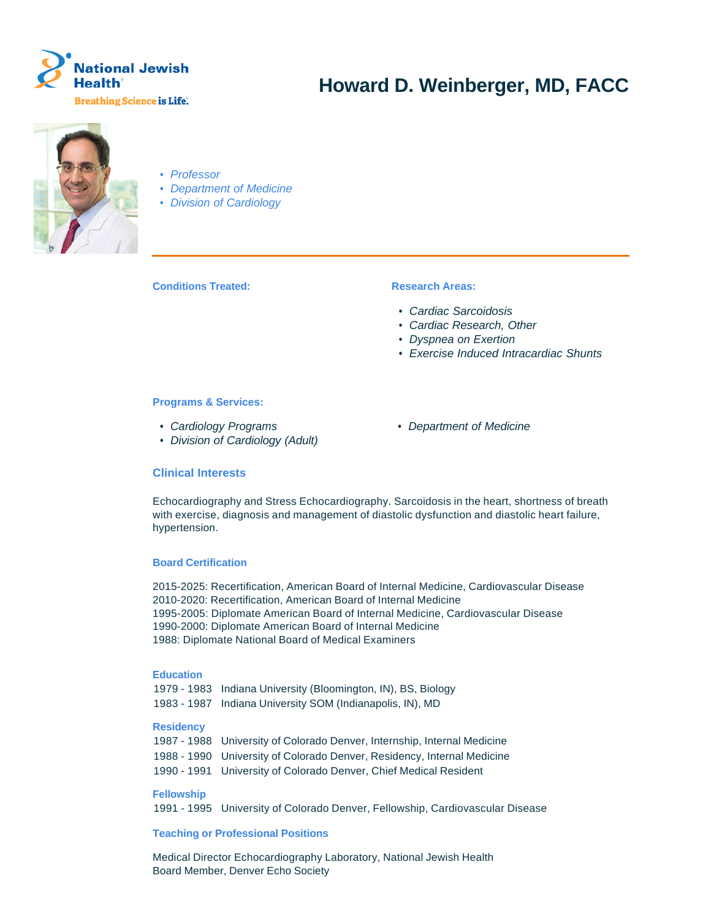

# **Howard D. Weinberger, MD, FACC**



# • Professor

- Department of Medicine
- Division of Cardiology

**Conditions Treated: Research Areas:** 

- Cardiac Sarcoidosis
- Cardiac Research, Other
- Dyspnea on Exertion
- Exercise Induced Intracardiac Shunts

# **Programs & Services:**

- Cardiology Programs Department of Medicine
- Division of Cardiology (Adult)

# **Clinical Interests**

Echocardiography and Stress Echocardiography. Sarcoidosis in the heart, shortness of breath with exercise, diagnosis and management of diastolic dysfunction and diastolic heart failure, hypertension.

# **Board Certification**

2015-2025: Recertification, American Board of Internal Medicine, Cardiovascular Disease 2010-2020: Recertification, American Board of Internal Medicine 1995-2005: Diplomate American Board of Internal Medicine, Cardiovascular Disease 1990-2000: Diplomate American Board of Internal Medicine 1988: Diplomate National Board of Medical Examiners

# **Education**

1979 - 1983 Indiana University (Bloomington, IN), BS, Biology 1983 - 1987 Indiana University SOM (Indianapolis, IN), MD

# **Residency**

| 1987 - 1988 University of Colorado Denver, Internship, Internal Medicine |
|--------------------------------------------------------------------------|
| 1988 - 1990 University of Colorado Denver, Residency, Internal Medicine  |
| 1990 - 1991 University of Colorado Denver, Chief Medical Resident        |

# **Fellowship**

1991 - 1995 University of Colorado Denver, Fellowship, Cardiovascular Disease

# **Teaching or Professional Positions**

Medical Director Echocardiography Laboratory, National Jewish Health Board Member, Denver Echo Society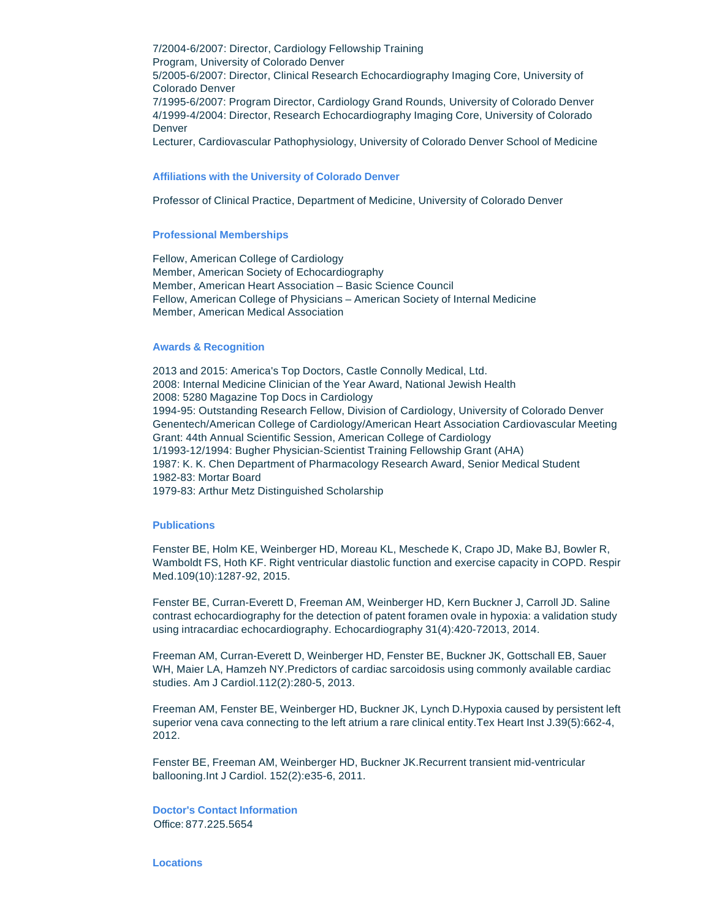7/2004-6/2007: Director, Cardiology Fellowship Training Program, University of Colorado Denver 5/2005-6/2007: Director, Clinical Research Echocardiography Imaging Core, University of Colorado Denver 7/1995-6/2007: Program Director, Cardiology Grand Rounds, University of Colorado Denver 4/1999-4/2004: Director, Research Echocardiography Imaging Core, University of Colorado Denver

Lecturer, Cardiovascular Pathophysiology, University of Colorado Denver School of Medicine

### **Affiliations with the University of Colorado Denver**

Professor of Clinical Practice, Department of Medicine, University of Colorado Denver

### **Professional Memberships**

Fellow, American College of Cardiology Member, American Society of Echocardiography Member, American Heart Association – Basic Science Council Fellow, American College of Physicians – American Society of Internal Medicine Member, American Medical Association

### **Awards & Recognition**

2013 and 2015: America's Top Doctors, Castle Connolly Medical, Ltd. 2008: Internal Medicine Clinician of the Year Award, National Jewish Health 2008: 5280 Magazine Top Docs in Cardiology 1994-95: Outstanding Research Fellow, Division of Cardiology, University of Colorado Denver Genentech/American College of Cardiology/American Heart Association Cardiovascular Meeting Grant: 44th Annual Scientific Session, American College of Cardiology 1/1993-12/1994: Bugher Physician-Scientist Training Fellowship Grant (AHA) 1987: K. K. Chen Department of Pharmacology Research Award, Senior Medical Student 1982-83: Mortar Board 1979-83: Arthur Metz Distinguished Scholarship

# **Publications**

Fenster BE, Holm KE, Weinberger HD, Moreau KL, Meschede K, Crapo JD, Make BJ, Bowler R, Wamboldt FS, Hoth KF. Right ventricular diastolic function and exercise capacity in COPD. Respir Med.109(10):1287-92, 2015.

Fenster BE, Curran-Everett D, Freeman AM, Weinberger HD, Kern Buckner J, Carroll JD. Saline contrast echocardiography for the detection of patent foramen ovale in hypoxia: a validation study using intracardiac echocardiography. Echocardiography 31(4):420-72013, 2014.

Freeman AM, Curran-Everett D, Weinberger HD, Fenster BE, Buckner JK, Gottschall EB, Sauer WH, Maier LA, Hamzeh NY.Predictors of cardiac sarcoidosis using commonly available cardiac studies. Am J Cardiol.112(2):280-5, 2013.

Freeman AM, Fenster BE, Weinberger HD, Buckner JK, Lynch D.Hypoxia caused by persistent left superior vena cava connecting to the left atrium a rare clinical entity. Tex Heart Inst J.39(5):662-4, 2012.

Fenster BE, Freeman AM, Weinberger HD, Buckner JK.Recurrent transient mid-ventricular ballooning.Int J Cardiol. 152(2):e35-6, 2011.

**Doctor's Contact Information** Office: 877.225.5654

**Locations**